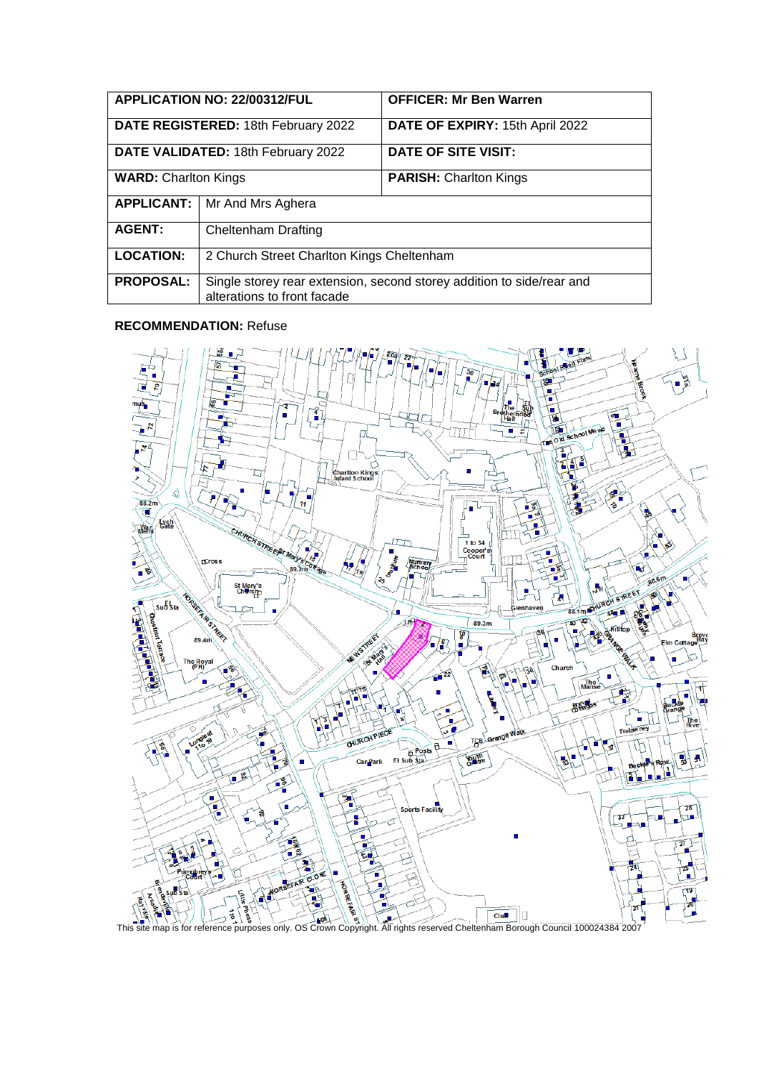| APPLICATION NO: 22/00312/FUL        |                                                                                                      | <b>OFFICER: Mr Ben Warren</b>   |
|-------------------------------------|------------------------------------------------------------------------------------------------------|---------------------------------|
| DATE REGISTERED: 18th February 2022 |                                                                                                      | DATE OF EXPIRY: 15th April 2022 |
| DATE VALIDATED: 18th February 2022  |                                                                                                      | DATE OF SITE VISIT:             |
| <b>WARD: Charlton Kings</b>         |                                                                                                      | <b>PARISH: Charlton Kings</b>   |
| <b>APPLICANT:</b>                   | Mr And Mrs Aghera                                                                                    |                                 |
| <b>AGENT:</b>                       | Cheltenham Drafting                                                                                  |                                 |
| <b>LOCATION:</b>                    | 2 Church Street Charlton Kings Cheltenham                                                            |                                 |
| <b>PROPOSAL:</b>                    | Single storey rear extension, second storey addition to side/rear and<br>alterations to front facade |                                 |

### **RECOMMENDATION:** Refuse

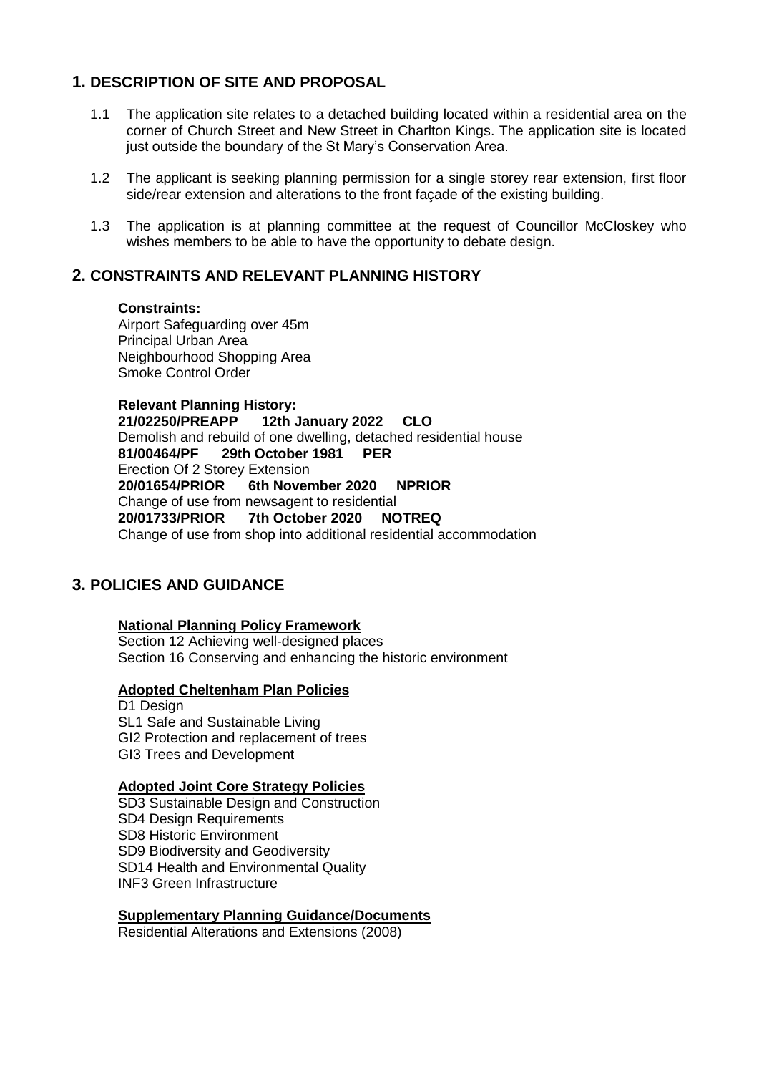# **1. DESCRIPTION OF SITE AND PROPOSAL**

- 1.1 The application site relates to a detached building located within a residential area on the corner of Church Street and New Street in Charlton Kings. The application site is located just outside the boundary of the St Mary's Conservation Area.
- 1.2 The applicant is seeking planning permission for a single storey rear extension, first floor side/rear extension and alterations to the front façade of the existing building.
- 1.3 The application is at planning committee at the request of Councillor McCloskey who wishes members to be able to have the opportunity to debate design.

## **2. CONSTRAINTS AND RELEVANT PLANNING HISTORY**

#### **Constraints:**

Airport Safeguarding over 45m Principal Urban Area Neighbourhood Shopping Area Smoke Control Order

**Relevant Planning History: 21/02250/PREAPP 12th January 2022 CLO** Demolish and rebuild of one dwelling, detached residential house **81/00464/PF 29th October 1981 PER** Erection Of 2 Storey Extension **20/01654/PRIOR 6th November 2020 NPRIOR** Change of use from newsagent to residential **20/01733/PRIOR 7th October 2020 NOTREQ** Change of use from shop into additional residential accommodation

## **3. POLICIES AND GUIDANCE**

### **National Planning Policy Framework**

Section 12 Achieving well-designed places Section 16 Conserving and enhancing the historic environment

### **Adopted Cheltenham Plan Policies**

D<sub>1</sub> Design SL1 Safe and Sustainable Living GI2 Protection and replacement of trees GI3 Trees and Development

### **Adopted Joint Core Strategy Policies**

SD3 Sustainable Design and Construction SD4 Design Requirements SD8 Historic Environment SD9 Biodiversity and Geodiversity SD14 Health and Environmental Quality INF3 Green Infrastructure

### **Supplementary Planning Guidance/Documents**

Residential Alterations and Extensions (2008)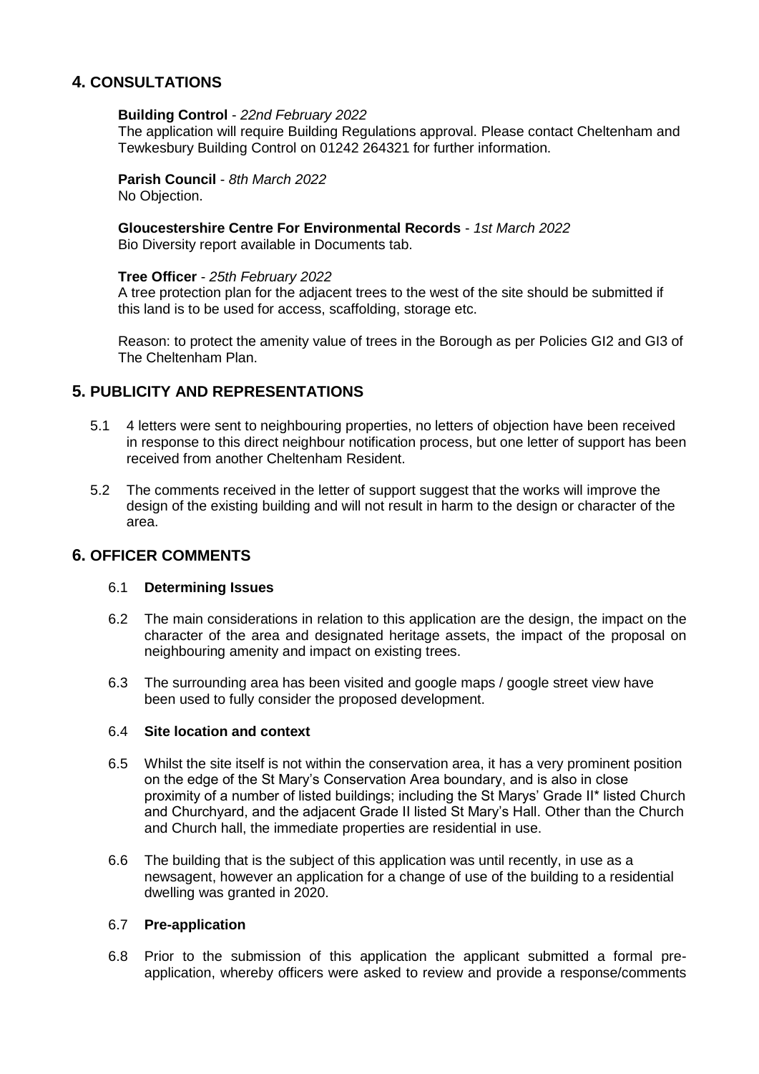## **4. CONSULTATIONS**

### **Building Control** - *22nd February 2022*

The application will require Building Regulations approval. Please contact Cheltenham and Tewkesbury Building Control on 01242 264321 for further information.

# **Parish Council** - *8th March 2022*

No Objection.

### **Gloucestershire Centre For Environmental Records** - *1st March 2022*

Bio Diversity report available in Documents tab.

### **Tree Officer** - *25th February 2022*

A tree protection plan for the adjacent trees to the west of the site should be submitted if this land is to be used for access, scaffolding, storage etc.

Reason: to protect the amenity value of trees in the Borough as per Policies GI2 and GI3 of The Cheltenham Plan.

## **5. PUBLICITY AND REPRESENTATIONS**

- 5.1 4 letters were sent to neighbouring properties, no letters of objection have been received in response to this direct neighbour notification process, but one letter of support has been received from another Cheltenham Resident.
- 5.2 The comments received in the letter of support suggest that the works will improve the design of the existing building and will not result in harm to the design or character of the area.

## **6. OFFICER COMMENTS**

### 6.1 **Determining Issues**

- 6.2 The main considerations in relation to this application are the design, the impact on the character of the area and designated heritage assets, the impact of the proposal on neighbouring amenity and impact on existing trees.
- 6.3 The surrounding area has been visited and google maps / google street view have been used to fully consider the proposed development.

### 6.4 **Site location and context**

- 6.5 Whilst the site itself is not within the conservation area, it has a very prominent position on the edge of the St Mary's Conservation Area boundary, and is also in close proximity of a number of listed buildings; including the St Marys' Grade II\* listed Church and Churchyard, and the adjacent Grade II listed St Mary's Hall. Other than the Church and Church hall, the immediate properties are residential in use.
- 6.6 The building that is the subject of this application was until recently, in use as a newsagent, however an application for a change of use of the building to a residential dwelling was granted in 2020.

### 6.7 **Pre-application**

6.8 Prior to the submission of this application the applicant submitted a formal preapplication, whereby officers were asked to review and provide a response/comments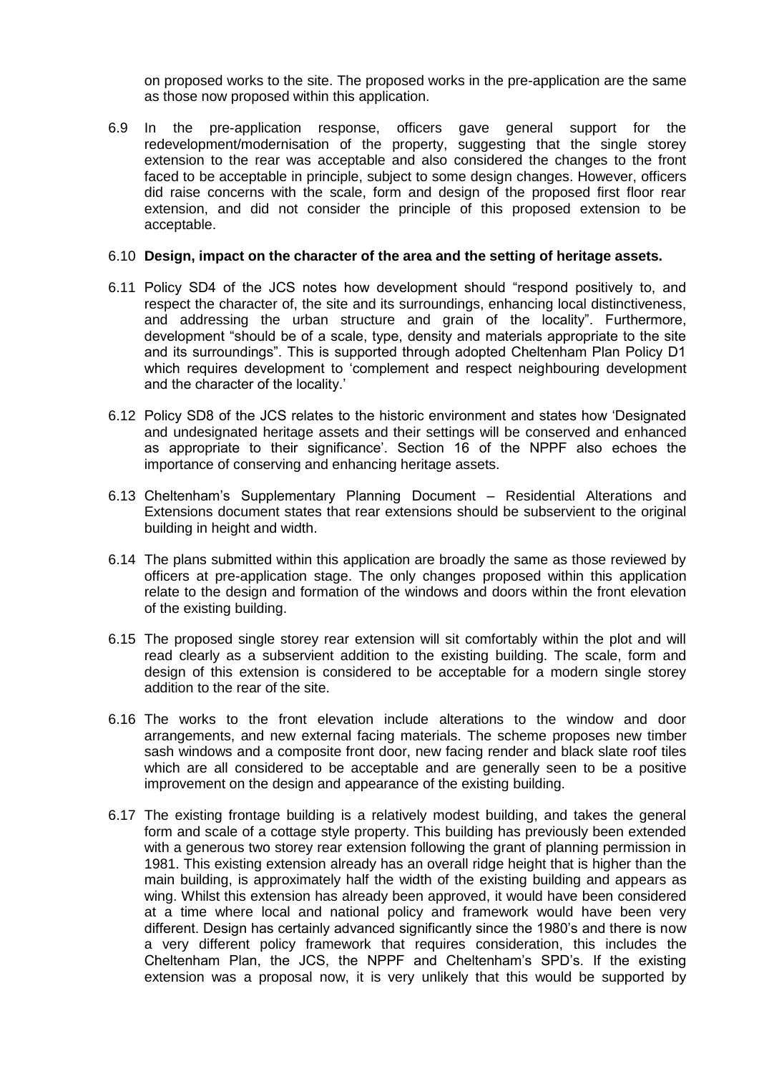on proposed works to the site. The proposed works in the pre-application are the same as those now proposed within this application.

6.9 In the pre-application response, officers gave general support for the redevelopment/modernisation of the property, suggesting that the single storey extension to the rear was acceptable and also considered the changes to the front faced to be acceptable in principle, subject to some design changes. However, officers did raise concerns with the scale, form and design of the proposed first floor rear extension, and did not consider the principle of this proposed extension to be acceptable.

#### 6.10 **Design, impact on the character of the area and the setting of heritage assets.**

- 6.11 Policy SD4 of the JCS notes how development should "respond positively to, and respect the character of, the site and its surroundings, enhancing local distinctiveness, and addressing the urban structure and grain of the locality". Furthermore, development "should be of a scale, type, density and materials appropriate to the site and its surroundings". This is supported through adopted Cheltenham Plan Policy D1 which requires development to 'complement and respect neighbouring development and the character of the locality.'
- 6.12 Policy SD8 of the JCS relates to the historic environment and states how 'Designated and undesignated heritage assets and their settings will be conserved and enhanced as appropriate to their significance'. Section 16 of the NPPF also echoes the importance of conserving and enhancing heritage assets.
- 6.13 Cheltenham's Supplementary Planning Document Residential Alterations and Extensions document states that rear extensions should be subservient to the original building in height and width.
- 6.14 The plans submitted within this application are broadly the same as those reviewed by officers at pre-application stage. The only changes proposed within this application relate to the design and formation of the windows and doors within the front elevation of the existing building.
- 6.15 The proposed single storey rear extension will sit comfortably within the plot and will read clearly as a subservient addition to the existing building. The scale, form and design of this extension is considered to be acceptable for a modern single storey addition to the rear of the site.
- 6.16 The works to the front elevation include alterations to the window and door arrangements, and new external facing materials. The scheme proposes new timber sash windows and a composite front door, new facing render and black slate roof tiles which are all considered to be acceptable and are generally seen to be a positive improvement on the design and appearance of the existing building.
- 6.17 The existing frontage building is a relatively modest building, and takes the general form and scale of a cottage style property. This building has previously been extended with a generous two storey rear extension following the grant of planning permission in 1981. This existing extension already has an overall ridge height that is higher than the main building, is approximately half the width of the existing building and appears as wing. Whilst this extension has already been approved, it would have been considered at a time where local and national policy and framework would have been very different. Design has certainly advanced significantly since the 1980's and there is now a very different policy framework that requires consideration, this includes the Cheltenham Plan, the JCS, the NPPF and Cheltenham's SPD's. If the existing extension was a proposal now, it is very unlikely that this would be supported by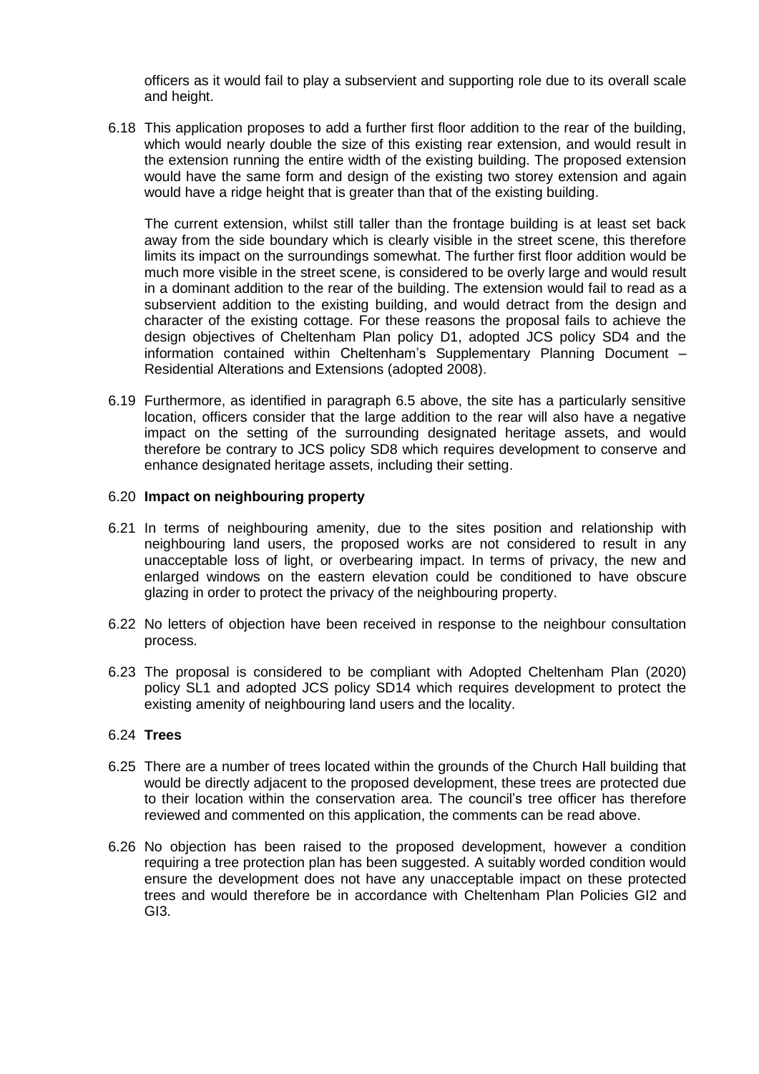officers as it would fail to play a subservient and supporting role due to its overall scale and height.

6.18 This application proposes to add a further first floor addition to the rear of the building, which would nearly double the size of this existing rear extension, and would result in the extension running the entire width of the existing building. The proposed extension would have the same form and design of the existing two storey extension and again would have a ridge height that is greater than that of the existing building.

The current extension, whilst still taller than the frontage building is at least set back away from the side boundary which is clearly visible in the street scene, this therefore limits its impact on the surroundings somewhat. The further first floor addition would be much more visible in the street scene, is considered to be overly large and would result in a dominant addition to the rear of the building. The extension would fail to read as a subservient addition to the existing building, and would detract from the design and character of the existing cottage. For these reasons the proposal fails to achieve the design objectives of Cheltenham Plan policy D1, adopted JCS policy SD4 and the information contained within Cheltenham's Supplementary Planning Document – Residential Alterations and Extensions (adopted 2008).

6.19 Furthermore, as identified in paragraph 6.5 above, the site has a particularly sensitive location, officers consider that the large addition to the rear will also have a negative impact on the setting of the surrounding designated heritage assets, and would therefore be contrary to JCS policy SD8 which requires development to conserve and enhance designated heritage assets, including their setting.

### 6.20 **Impact on neighbouring property**

- 6.21 In terms of neighbouring amenity, due to the sites position and relationship with neighbouring land users, the proposed works are not considered to result in any unacceptable loss of light, or overbearing impact. In terms of privacy, the new and enlarged windows on the eastern elevation could be conditioned to have obscure glazing in order to protect the privacy of the neighbouring property.
- 6.22 No letters of objection have been received in response to the neighbour consultation process.
- 6.23 The proposal is considered to be compliant with Adopted Cheltenham Plan (2020) policy SL1 and adopted JCS policy SD14 which requires development to protect the existing amenity of neighbouring land users and the locality.

## 6.24 **Trees**

- 6.25 There are a number of trees located within the grounds of the Church Hall building that would be directly adjacent to the proposed development, these trees are protected due to their location within the conservation area. The council's tree officer has therefore reviewed and commented on this application, the comments can be read above.
- 6.26 No objection has been raised to the proposed development, however a condition requiring a tree protection plan has been suggested. A suitably worded condition would ensure the development does not have any unacceptable impact on these protected trees and would therefore be in accordance with Cheltenham Plan Policies GI2 and GI3.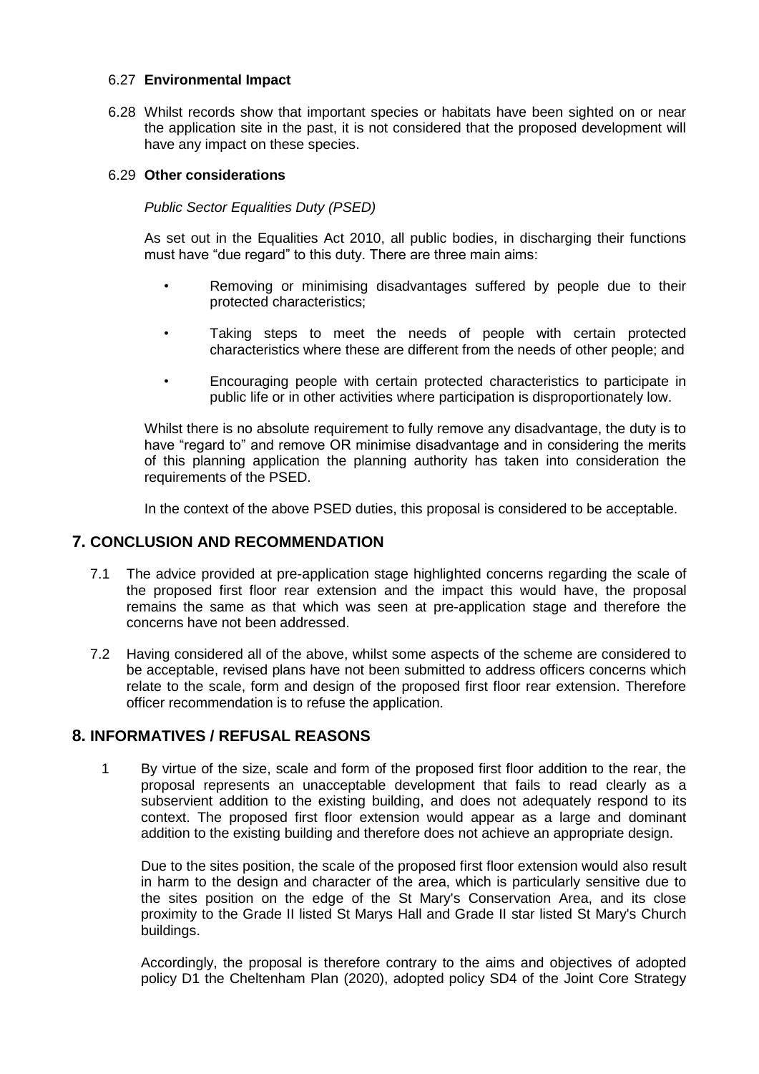### 6.27 **Environmental Impact**

6.28 Whilst records show that important species or habitats have been sighted on or near the application site in the past, it is not considered that the proposed development will have any impact on these species.

### 6.29 **Other considerations**

### *Public Sector Equalities Duty (PSED)*

As set out in the Equalities Act 2010, all public bodies, in discharging their functions must have "due regard" to this duty. There are three main aims:

- Removing or minimising disadvantages suffered by people due to their protected characteristics;
- Taking steps to meet the needs of people with certain protected characteristics where these are different from the needs of other people; and
- Encouraging people with certain protected characteristics to participate in public life or in other activities where participation is disproportionately low.

Whilst there is no absolute requirement to fully remove any disadvantage, the duty is to have "regard to" and remove OR minimise disadvantage and in considering the merits of this planning application the planning authority has taken into consideration the requirements of the PSED.

In the context of the above PSED duties, this proposal is considered to be acceptable.

## **7. CONCLUSION AND RECOMMENDATION**

- 7.1 The advice provided at pre-application stage highlighted concerns regarding the scale of the proposed first floor rear extension and the impact this would have, the proposal remains the same as that which was seen at pre-application stage and therefore the concerns have not been addressed.
- 7.2 Having considered all of the above, whilst some aspects of the scheme are considered to be acceptable, revised plans have not been submitted to address officers concerns which relate to the scale, form and design of the proposed first floor rear extension. Therefore officer recommendation is to refuse the application.

### **8. INFORMATIVES / REFUSAL REASONS**

1 By virtue of the size, scale and form of the proposed first floor addition to the rear, the proposal represents an unacceptable development that fails to read clearly as a subservient addition to the existing building, and does not adequately respond to its context. The proposed first floor extension would appear as a large and dominant addition to the existing building and therefore does not achieve an appropriate design.

Due to the sites position, the scale of the proposed first floor extension would also result in harm to the design and character of the area, which is particularly sensitive due to the sites position on the edge of the St Mary's Conservation Area, and its close proximity to the Grade II listed St Marys Hall and Grade II star listed St Mary's Church buildings.

Accordingly, the proposal is therefore contrary to the aims and objectives of adopted policy D1 the Cheltenham Plan (2020), adopted policy SD4 of the Joint Core Strategy